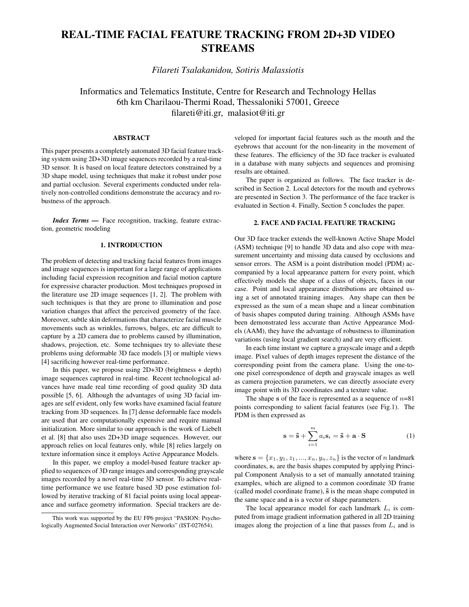# **REAL-TIME FACIAL FEATURE TRACKING FROM 2D+3D VIDEO STREAMS**

*Filareti Tsalakanidou, Sotiris Malassiotis*

Informatics and Telematics Institute, Centre for Research and Technology Hellas 6th km Charilaou-Thermi Road, Thessaloniki 57001, Greece filareti@iti.gr, malasiot@iti.gr

## **ABSTRACT**

This paper presents a completely automated 3D facial feature tracking system using 2D+3D image sequences recorded by a real-time 3D sensor. It is based on local feature detectors constrained by a 3D shape model, using techniques that make it robust under pose and partial occlusion. Several experiments conducted under relatively non-controlled conditions demonstrate the accuracy and robustness of the approach.

*Index Terms* **—** Face recognition, tracking, feature extraction, geometric modeling

# **1. INTRODUCTION**

The problem of detecting and tracking facial features from images and image sequences is important for a large range of applications including facial expression recognition and facial motion capture for expressive character production. Most techniques proposed in the literature use 2D image sequences [1, 2]. The problem with such techniques is that they are prone to illumination and pose variation changes that affect the perceived geometry of the face. Moreover, subtle skin deformations that characterize facial muscle movements such as wrinkles, furrows, bulges, etc are difficult to capture by a 2D camera due to problems caused by illumination, shadows, projection, etc. Some techniques try to alleviate these problems using deformable 3D face models [3] or multiple views [4] sacrificing however real-time performance.

In this paper, we propose using 2D+3D (brightness + depth) image sequences captured in real-time. Recent technological advances have made real time recording of good quality 3D data possible [5, 6]. Although the advantages of using 3D facial images are self evident, only few works have examined facial feature tracking from 3D sequences. In [7] dense deformable face models are used that are computationally expensive and require manual initialization. More similar to our approach is the work of Liebelt et al. [8] that also uses 2D+3D image sequences. However, our approach relies on local features only, while [8] relies largely on texture information since it employs Active Appearance Models.

In this paper, we employ a model-based feature tracker applied to sequences of 3D range images and corresponding grayscale images recorded by a novel real-time 3D sensor. To achieve realtime performance we use feature based 3D pose estimation followed by iterative tracking of 81 facial points using local appearance and surface geometry information. Special trackers are developed for important facial features such as the mouth and the eyebrows that account for the non-linearity in the movement of these features. The efficiency of the 3D face tracker is evaluated in a database with many subjects and sequences and promising results are obtained.

The paper is organized as follows. The face tracker is described in Section 2. Local detectors for the mouth and eyebrows are presented in Section 3. The performance of the face tracker is evaluated in Section 4. Finally, Section 5 concludes the paper.

## **2. FACE AND FACIAL FEATURE TRACKING**

Our 3D face tracker extends the well-known Active Shape Model (ASM) technique [9] to handle 3D data and also cope with measurement uncertainty and missing data caused by occlusions and sensor errors. The ASM is a point distribution model (PDM) accompanied by a local appearance pattern for every point, which effectively models the shape of a class of objects, faces in our case. Point and local appearance distributions are obtained using a set of annotated training images. Any shape can then be expressed as the sum of a mean shape and a linear combination of basis shapes computed during training. Although ASMs have been demonstrated less accurate than Active Appearance Models (AAM), they have the advantage of robustness to illumination variations (using local gradient search) and are very efficient.

In each time instant we capture a grayscale image and a depth image. Pixel values of depth images represent the distance of the corresponding point from the camera plane. Using the one-toone pixel correspondence of depth and grayscale images as well as camera projection parameters, we can directly associate every image point with its 3D coordinates and a texture value.

The shape s of the face is represented as a sequence of  $n=81$ points corresponding to salient facial features (see Fig.1). The PDM is then expressed as

$$
\mathbf{s} = \tilde{\mathbf{s}} + \sum_{i=1}^{m} a_i \mathbf{s}_i = \tilde{\mathbf{s}} + \mathbf{a} \cdot \mathbf{S}
$$
 (1)

where  $\mathbf{s} = \{x_1, y_1, z_1, \dots, x_n, y_n, z_n\}$  is the vector of n landmark coordinates,  $s_i$  are the basis shapes computed by applying Principal Component Analysis to a set of manually annotated training examples, which are aligned to a common coordinate 3D frame  $(called model coordinate frame)$ ,  $\tilde{s}$  is the mean shape computed in the same space and a is a vector of shape parameters.

The local appearance model for each landmark  $L_i$  is computed from image gradient information gathered in all 2D training images along the projection of a line that passes from  $L_i$  and is

This work was supported by the EU FP6 project "PASION: Psychologically Augmented Social Interaction over Networks" (IST-027654).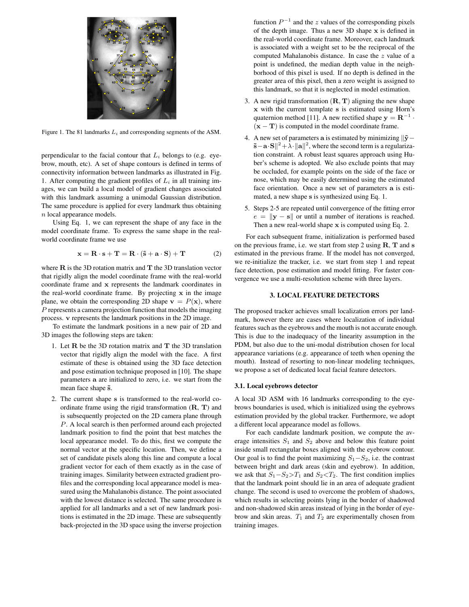

Figure 1. The 81 landmarks  $L_i$  and corresponding segments of the ASM.

perpendicular to the facial contour that  $L<sub>i</sub>$  belongs to (e.g. eyebrow, mouth, etc). A set of shape contours is defined in terms of connectivity information between landmarks as illustrated in Fig. 1. After computing the gradient profiles of  $L_i$  in all training images, we can build a local model of gradient changes associated with this landmark assuming a unimodal Gaussian distribution. The same procedure is applied for every landmark thus obtaining n local appearance models.

Using Eq. 1, we can represent the shape of any face in the model coordinate frame. To express the same shape in the realworld coordinate frame we use

$$
\mathbf{x} = \mathbf{R} \cdot \mathbf{s} + \mathbf{T} = \mathbf{R} \cdot (\mathbf{\tilde{s}} + \mathbf{a} \cdot \mathbf{S}) + \mathbf{T}
$$
 (2)

where  $\bf{R}$  is the 3D rotation matrix and  $\bf{T}$  the 3D translation vector that rigidly align the model coordinate frame with the real-world coordinate frame and x represents the landmark coordinates in the real-world coordinate frame. By projecting x in the image plane, we obtain the corresponding 2D shape  $\mathbf{v} = P(\mathbf{x})$ , where P represents a camera projection function that models the imaging process. v represents the landmark positions in the 2D image.

To estimate the landmark positions in a new pair of 2D and 3D images the following steps are taken:

- 1. Let  $R$  be the 3D rotation matrix and  $T$  the 3D translation vector that rigidly align the model with the face. A first estimate of these is obtained using the 3D face detection and pose estimation technique proposed in [10]. The shape parameters a are initialized to zero, i.e. we start from the mean face shape  $\tilde{s}$ .
- 2. The current shape s is transformed to the real-world coordinate frame using the rigid transformation  $(R, T)$  and is subsequently projected on the 2D camera plane through P. A local search is then performed around each projected landmark position to find the point that best matches the local appearance model. To do this, first we compute the normal vector at the specific location. Then, we define a set of candidate pixels along this line and compute a local gradient vector for each of them exactly as in the case of training images. Similarity between extracted gradient profiles and the corresponding local appearance model is measured using the Mahalanobis distance. The point associated with the lowest distance is selected. The same procedure is applied for all landmarks and a set of new landmark positions is estimated in the 2D image. These are subsequently back-projected in the 3D space using the inverse projection

function  $P^{-1}$  and the z values of the corresponding pixels of the depth image. Thus a new 3D shape x is defined in the real-world coordinate frame. Moreover, each landmark is associated with a weight set to be the reciprocal of the computed Mahalanobis distance. In case the z value of a point is undefined, the median depth value in the neighborhood of this pixel is used. If no depth is defined in the greater area of this pixel, then a zero weight is assigned to this landmark, so that it is neglected in model estimation.

- 3. A new rigid transformation  $(\mathbf{R}, \mathbf{T})$  aligning the new shape x with the current template s is estimated using Horn's quaternion method [11]. A new rectified shape  $y = R^{-1}$ .  $(x - T)$  is computed in the model coordinate frame.
- 4. A new set of parameters a is estimated by minimizing  $\|\mathbf{\tilde{y}} \mathbf{\tilde{y}}\|$  $\|\tilde{\mathbf{s}}-\mathbf{a}\cdot\mathbf{S}\|^2 + \lambda \cdot \|\mathbf{a}\|^2$ , where the second term is a regularization constraint. A robust least squares approach using Huber's scheme is adopted. We also exclude points that may be occluded, for example points on the side of the face or nose, which may be easily determined using the estimated face orientation. Once a new set of parameters a is estimated, a new shape s is synthesized using Eq. 1.
- 5. Steps 2-5 are repeated until convergence of the fitting error  $e = ||\mathbf{y} - \mathbf{s}||$  or until a number of iterations is reached. Then a new real-world shape x is computed using Eq. 2.

For each subsequent frame, initialization is performed based on the previous frame, i.e. we start from step 2 using  $\mathbf{R}, \mathbf{T}$  and  $\mathbf{s}$ estimated in the previous frame. If the model has not converged, we re-initialize the tracker, i.e. we start from step 1 and repeat face detection, pose estimation and model fitting. For faster convergence we use a multi-resolution scheme with three layers.

## **3. LOCAL FEATURE DETECTORS**

The proposed tracker achieves small localization errors per landmark, however there are cases where localization of individual features such as the eyebrows and the mouth is not accurate enough. This is due to the inadequacy of the linearity assumption in the PDM, but also due to the uni-modal distribution chosen for local appearance variations (e.g. appearance of teeth when opening the mouth). Instead of resorting to non-linear modeling techniques, we propose a set of dedicated local facial feature detectors.

#### **3.1. Local eyebrows detector**

A local 3D ASM with 16 landmarks corresponding to the eyebrows boundaries is used, which is initialized using the eyebrows estimation provided by the global tracker. Furthermore, we adopt a different local appearance model as follows.

For each candidate landmark position, we compute the average intensities  $S_1$  and  $S_2$  above and below this feature point inside small rectangular boxes aligned with the eyebrow contour. Our goal is to find the point maximizing  $S_1-S_2$ , i.e. the contrast between bright and dark areas (skin and eyebrow). In addition, we ask that  $S_1-S_2>T_1$  and  $S_2. The first condition implies$ that the landmark point should lie in an area of adequate gradient change. The second is used to overcome the problem of shadows, which results in selecting points lying in the border of shadowed and non-shadowed skin areas instead of lying in the border of eyebrow and skin areas.  $T_1$  and  $T_2$  are experimentally chosen from training images.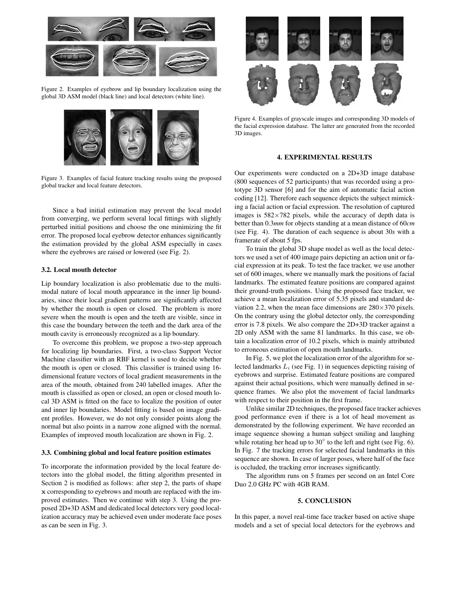

Figure 2. Examples of eyebrow and lip boundary localization using the global 3D ASM model (black line) and local detectors (white line).



Figure 3. Examples of facial feature tracking results using the proposed global tracker and local feature detectors.

Since a bad initial estimation may prevent the local model from converging, we perform several local fittings with slightly perturbed initial positions and choose the one minimizing the fit error. The proposed local eyebrow detector enhances significantly the estimation provided by the global ASM especially in cases where the eyebrows are raised or lowered (see Fig. 2).

## **3.2. Local mouth detector**

Lip boundary localization is also problematic due to the multimodal nature of local mouth appearance in the inner lip boundaries, since their local gradient patterns are significantly affected by whether the mouth is open or closed. The problem is more severe when the mouth is open and the teeth are visible, since in this case the boundary between the teeth and the dark area of the mouth cavity is erroneously recognized as a lip boundary.

To overcome this problem, we propose a two-step approach for localizing lip boundaries. First, a two-class Support Vector Machine classifier with an RBF kernel is used to decide whether the mouth is open or closed. This classifier is trained using 16 dimensional feature vectors of local gradient measurements in the area of the mouth, obtained from 240 labelled images. After the mouth is classified as open or closed, an open or closed mouth local 3D ASM is fitted on the face to localize the position of outer and inner lip boundaries. Model fitting is based on image gradient profiles. However, we do not only consider points along the normal but also points in a narrow zone aligned with the normal. Examples of improved mouth localization are shown in Fig. 2.

#### **3.3. Combining global and local feature position estimates**

To incorporate the information provided by the local feature detectors into the global model, the fitting algorithm presented in Section 2 is modified as follows: after step 2, the parts of shape x corresponding to eyebrows and mouth are replaced with the improved estimates. Then we continue with step 3. Using the proposed 2D+3D ASM and dedicated local detectors very good localization accuracy may be achieved even under moderate face poses as can be seen in Fig. 3.



Figure 4. Examples of grayscale images and corresponding 3D models of the facial expression database. The latter are generated from the recorded 3D images.

#### **4. EXPERIMENTAL RESULTS**

Our experiments were conducted on a 2D+3D image database (800 sequences of 52 participants) that was recorded using a prototype 3D sensor [6] and for the aim of automatic facial action coding [12]. Therefore each sequence depicts the subject mimicking a facial action or facial expression. The resolution of captured images is  $582\times782$  pixels, while the accuracy of depth data is better than 0.3*mm* for objects standing at a mean distance of 60*cm* (see Fig. 4). The duration of each sequence is about 30*s* with a framerate of about 5 fps.

To train the global 3D shape model as well as the local detectors we used a set of 400 image pairs depicting an action unit or facial expression at its peak. To test the face tracker, we use another set of 600 images, where we manually mark the positions of facial landmarks. The estimated feature positions are compared against their ground-truth positions. Using the proposed face tracker, we achieve a mean localization error of 5.35 pixels and standard deviation 2.2, when the mean face dimensions are  $280\times370$  pixels. On the contrary using the global detector only, the corresponding error is 7.8 pixels. We also compare the 2D+3D tracker against a 2D only ASM with the same 81 landmarks. In this case, we obtain a localization error of 10.2 pixels, which is mainly attributed to erroneous estimation of open mouth landmarks.

In Fig. 5, we plot the localization error of the algorithm for selected landmarks  $L<sub>i</sub>$  (see Fig. 1) in sequences depicting raising of eyebrows and surprise. Estimated feature positions are compared against their actual positions, which were manually defined in sequence frames. We also plot the movement of facial landmarks with respect to their position in the first frame.

Unlike similar 2D techniques, the proposed face tracker achieves good performance even if there is a lot of head movement as demonstrated by the following experiment. We have recorded an image sequence showing a human subject smiling and laughing while rotating her head up to  $30^\circ$  to the left and right (see Fig. 6). In Fig. 7 the tracking errors for selected facial landmarks in this sequence are shown. In case of larger poses, where half of the face is occluded, the tracking error increases significantly.

The algorithm runs on 5 frames per second on an Intel Core Duo 2.0 GHz PC with 4GB RAM.

#### **5. CONCLUSION**

In this paper, a novel real-time face tracker based on active shape models and a set of special local detectors for the eyebrows and